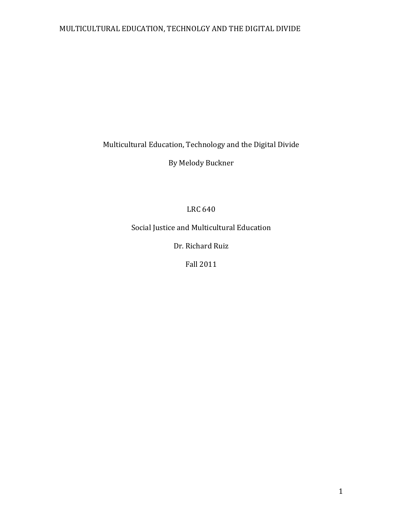Multicultural Education, Technology and the Digital Divide

By Melody Buckner

LRC 640

Social Justice and Multicultural Education

Dr. Richard Ruiz

Fall 2011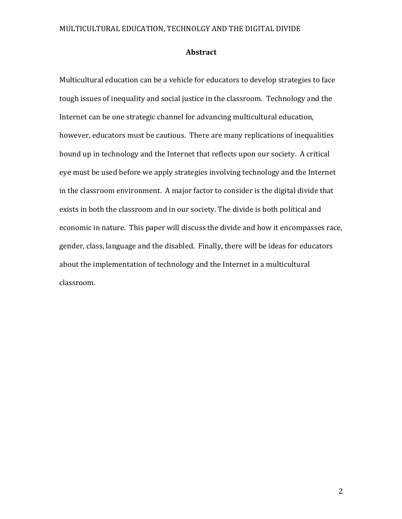#### **Abstract**

Multicultural education can be a vehicle for educators to develop strategies to face tough issues of inequality and social justice in the classroom. Technology and the Internet can be one strategic channel for advancing multicultural education, however, educators must be cautious. There are many replications of inequalities bound up in technology and the Internet that reflects upon our society. A critical eye must be used before we apply strategies involving technology and the Internet in the classroom environment. A major factor to consider is the digital divide that exists in both the classroom and in our society. The divide is both political and economic in nature. This paper will discuss the divide and how it encompasses race, gender, class, language and the disabled. Finally, there will be ideas for educators about the implementation of technology and the Internet in a multicultural classroom.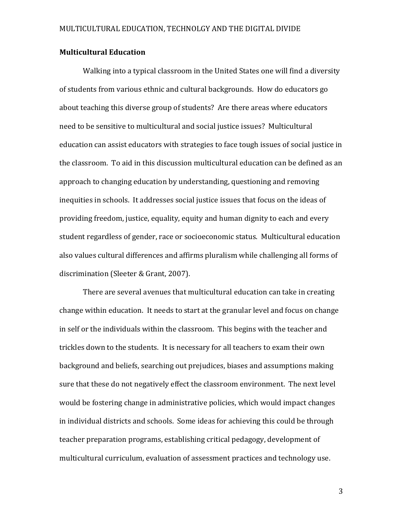# **Multicultural Education**

Walking into a typical classroom in the United States one will find a diversity of students from various ethnic and cultural backgrounds. How do educators go about teaching this diverse group of students? Are there areas where educators need to be sensitive to multicultural and social justice issues? Multicultural education can assist educators with strategies to face tough issues of social justice in the classroom. To aid in this discussion multicultural education can be defined as an approach to changing education by understanding, questioning and removing inequities in schools. It addresses social justice issues that focus on the ideas of providing freedom, justice, equality, equity and human dignity to each and every student regardless of gender, race or socioeconomic status. Multicultural education also values cultural differences and affirms pluralism while challenging all forms of discrimination (Sleeter & Grant, 2007).

There are several avenues that multicultural education can take in creating change within education. It needs to start at the granular level and focus on change in self or the individuals within the classroom. This begins with the teacher and trickles down to the students. It is necessary for all teachers to exam their own background and beliefs, searching out prejudices, biases and assumptions making sure that these do not negatively effect the classroom environment. The next level would be fostering change in administrative policies, which would impact changes in individual districts and schools. Some ideas for achieving this could be through teacher preparation programs, establishing critical pedagogy, development of multicultural curriculum, evaluation of assessment practices and technology use.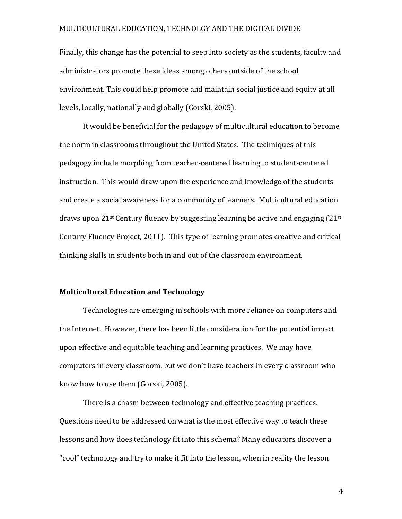Finally, this change has the potential to seep into society as the students, faculty and administrators promote these ideas among others outside of the school environment. This could help promote and maintain social justice and equity at all levels, locally, nationally and globally (Gorski, 2005).

It would be beneficial for the pedagogy of multicultural education to become the norm in classrooms throughout the United States. The techniques of this pedagogy include morphing from teacher-centered learning to student-centered instruction. This would draw upon the experience and knowledge of the students and create a social awareness for a community of learners. Multicultural education draws upon  $21^{st}$  Century fluency by suggesting learning be active and engaging  $(21^{st}$ Century Fluency Project, 2011). This type of learning promotes creative and critical thinking skills in students both in and out of the classroom environment.

### **Multicultural Education and Technology**

Technologies are emerging in schools with more reliance on computers and the Internet. However, there has been little consideration for the potential impact upon effective and equitable teaching and learning practices. We may have computers in every classroom, but we don't have teachers in every classroom who know how to use them (Gorski, 2005).

There is a chasm between technology and effective teaching practices. Questions need to be addressed on what is the most effective way to teach these lessons and how does technology fit into this schema? Many educators discover a "cool" technology and try to make it fit into the lesson, when in reality the lesson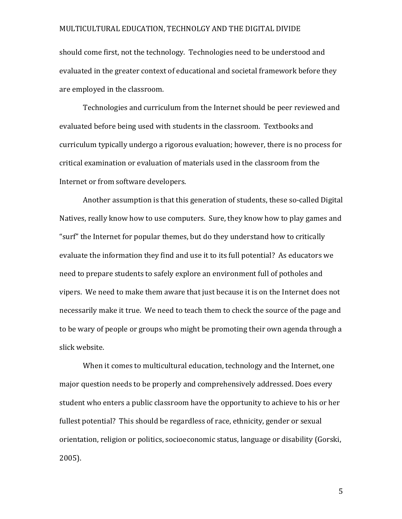should come first, not the technology. Technologies need to be understood and evaluated in the greater context of educational and societal framework before they are employed in the classroom.

Technologies and curriculum from the Internet should be peer reviewed and evaluated before being used with students in the classroom. Textbooks and curriculum typically undergo a rigorous evaluation; however, there is no process for critical examination or evaluation of materials used in the classroom from the Internet or from software developers.

Another assumption is that this generation of students, these so-called Digital Natives, really know how to use computers. Sure, they know how to play games and "surf" the Internet for popular themes, but do they understand how to critically evaluate the information they find and use it to its full potential? As educators we need to prepare students to safely explore an environment full of potholes and vipers. We need to make them aware that just because it is on the Internet does not necessarily make it true. We need to teach them to check the source of the page and to be wary of people or groups who might be promoting their own agenda through a slick website.

When it comes to multicultural education, technology and the Internet, one major question needs to be properly and comprehensively addressed. Does every student who enters a public classroom have the opportunity to achieve to his or her fullest potential? This should be regardless of race, ethnicity, gender or sexual orientation, religion or politics, socioeconomic status, language or disability (Gorski, 2005).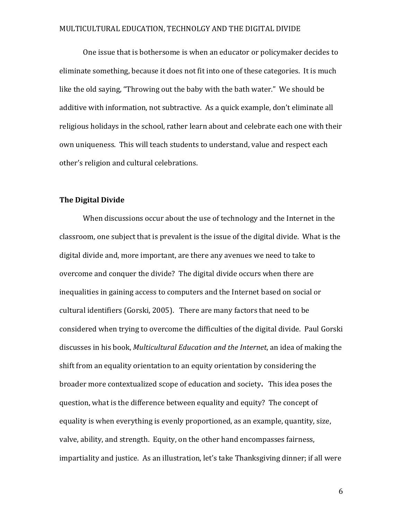One issue that is bothersome is when an educator or policymaker decides to eliminate something, because it does not fit into one of these categories. It is much like the old saying, "Throwing out the baby with the bath water." We should be additive with information, not subtractive. As a quick example, don't eliminate all religious holidays in the school, rather learn about and celebrate each one with their own uniqueness. This will teach students to understand, value and respect each other's religion and cultural celebrations.

#### **The Digital Divide**

When discussions occur about the use of technology and the Internet in the classroom, one subject that is prevalent is the issue of the digital divide. What is the digital divide and, more important, are there any avenues we need to take to overcome and conquer the divide? The digital divide occurs when there are inequalities in gaining access to computers and the Internet based on social or cultural identifiers (Gorski, 2005). There are many factors that need to be considered when trying to overcome the difficulties of the digital divide. Paul Gorski discusses in his book, *Multicultural Education and the Internet*, an idea of making the shift from an equality orientation to an equity orientation by considering the broader more contextualized scope of education and society. This idea poses the question, what is the difference between equality and equity? The concept of equality is when everything is evenly proportioned, as an example, quantity, size, valve, ability, and strength. Equity, on the other hand encompasses fairness, impartiality and justice. As an illustration, let's take Thanksgiving dinner; if all were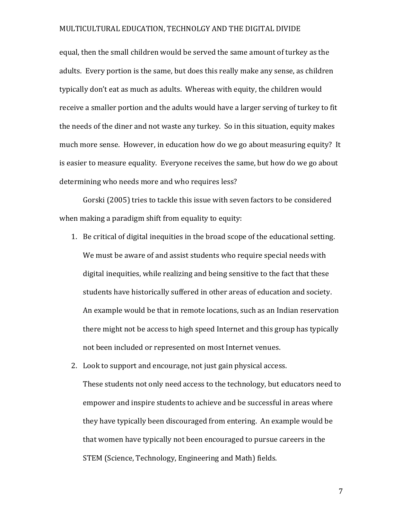equal, then the small children would be served the same amount of turkey as the adults. Every portion is the same, but does this really make any sense, as children typically don't eat as much as adults. Whereas with equity, the children would receive a smaller portion and the adults would have a larger serving of turkey to fit the needs of the diner and not waste any turkey. So in this situation, equity makes much more sense. However, in education how do we go about measuring equity? It is easier to measure equality. Everyone receives the same, but how do we go about determining who needs more and who requires less?

Gorski (2005) tries to tackle this issue with seven factors to be considered when making a paradigm shift from equality to equity:

- 1. Be critical of digital inequities in the broad scope of the educational setting. We must be aware of and assist students who require special needs with digital inequities, while realizing and being sensitive to the fact that these students have historically suffered in other areas of education and society. An example would be that in remote locations, such as an Indian reservation there might not be access to high speed Internet and this group has typically not been included or represented on most Internet venues.
- 2. Look to support and encourage, not just gain physical access. These students not only need access to the technology, but educators need to empower and inspire students to achieve and be successful in areas where they have typically been discouraged from entering. An example would be that women have typically not been encouraged to pursue careers in the STEM (Science, Technology, Engineering and Math) fields.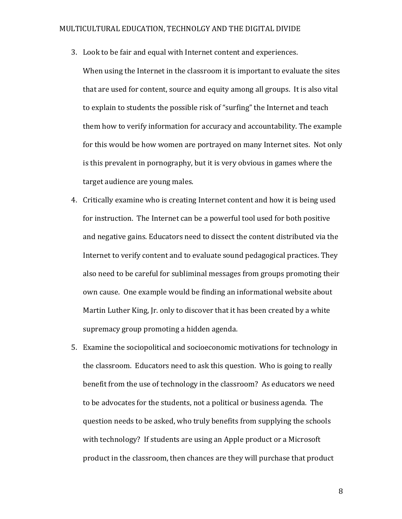3. Look to be fair and equal with Internet content and experiences.

When using the Internet in the classroom it is important to evaluate the sites that are used for content, source and equity among all groups. It is also vital to explain to students the possible risk of "surfing" the Internet and teach them how to verify information for accuracy and accountability. The example for this would be how women are portrayed on many Internet sites. Not only is this prevalent in pornography, but it is very obvious in games where the target audience are young males.

- 4. Critically examine who is creating Internet content and how it is being used for instruction. The Internet can be a powerful tool used for both positive and negative gains. Educators need to dissect the content distributed via the Internet to verify content and to evaluate sound pedagogical practices. They also need to be careful for subliminal messages from groups promoting their own cause. One example would be finding an informational website about Martin Luther King, Ir. only to discover that it has been created by a white supremacy group promoting a hidden agenda.
- 5. Examine the sociopolitical and socioeconomic motivations for technology in the classroom. Educators need to ask this question. Who is going to really benefit from the use of technology in the classroom? As educators we need to be advocates for the students, not a political or business agenda. The question needs to be asked, who truly benefits from supplying the schools with technology? If students are using an Apple product or a Microsoft product in the classroom, then chances are they will purchase that product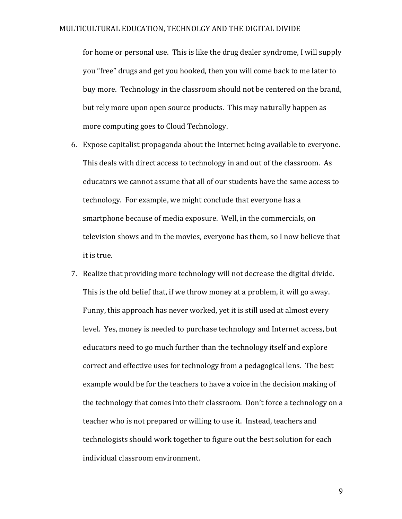for home or personal use. This is like the drug dealer syndrome, I will supply you "free" drugs and get you hooked, then you will come back to me later to buy more. Technology in the classroom should not be centered on the brand, but rely more upon open source products. This may naturally happen as more computing goes to Cloud Technology.

- 6. Expose capitalist propaganda about the Internet being available to everyone. This deals with direct access to technology in and out of the classroom. As educators we cannot assume that all of our students have the same access to technology. For example, we might conclude that everyone has a smartphone because of media exposure. Well, in the commercials, on television shows and in the movies, everyone has them, so I now believe that it is true.
- 7. Realize that providing more technology will not decrease the digital divide. This is the old belief that, if we throw money at a problem, it will go away. Funny, this approach has never worked, yet it is still used at almost every level. Yes, money is needed to purchase technology and Internet access, but educators need to go much further than the technology itself and explore correct and effective uses for technology from a pedagogical lens. The best example would be for the teachers to have a voice in the decision making of the technology that comes into their classroom. Don't force a technology on a teacher who is not prepared or willing to use it. Instead, teachers and technologists should work together to figure out the best solution for each individual classroom environment.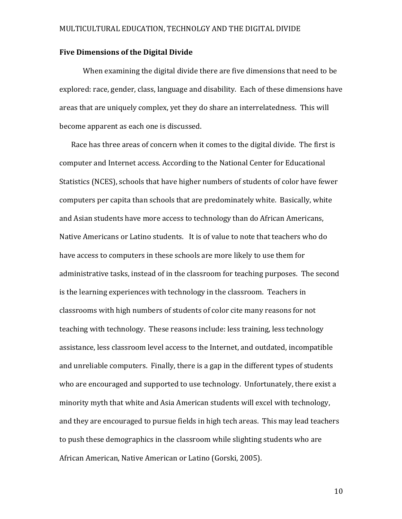# **Five Dimensions of the Digital Divide**

When examining the digital divide there are five dimensions that need to be explored: race, gender, class, language and disability. Each of these dimensions have areas that are uniquely complex, yet they do share an interrelatedness. This will become apparent as each one is discussed.

Race has three areas of concern when it comes to the digital divide. The first is computer and Internet access. According to the National Center for Educational Statistics (NCES), schools that have higher numbers of students of color have fewer computers per capita than schools that are predominately white. Basically, white and Asian students have more access to technology than do African Americans, Native Americans or Latino students. It is of value to note that teachers who do have access to computers in these schools are more likely to use them for administrative tasks, instead of in the classroom for teaching purposes. The second is the learning experiences with technology in the classroom. Teachers in classrooms with high numbers of students of color cite many reasons for not teaching with technology. These reasons include: less training, less technology assistance, less classroom level access to the Internet, and outdated, incompatible and unreliable computers. Finally, there is a gap in the different types of students who are encouraged and supported to use technology. Unfortunately, there exist a minority myth that white and Asia American students will excel with technology, and they are encouraged to pursue fields in high tech areas. This may lead teachers to push these demographics in the classroom while slighting students who are African American, Native American or Latino (Gorski, 2005).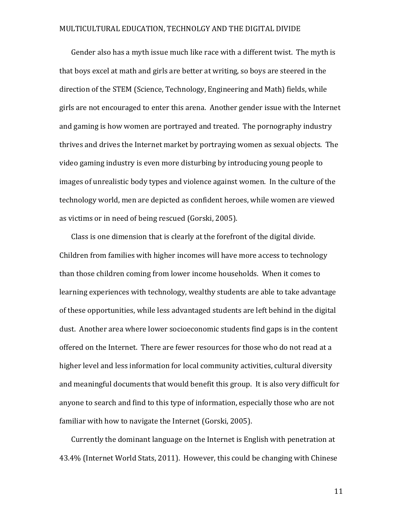Gender also has a myth issue much like race with a different twist. The myth is that boys excel at math and girls are better at writing, so boys are steered in the direction of the STEM (Science, Technology, Engineering and Math) fields, while girls are not encouraged to enter this arena. Another gender issue with the Internet and gaming is how women are portrayed and treated. The pornography industry thrives and drives the Internet market by portraying women as sexual objects. The video gaming industry is even more disturbing by introducing young people to images of unrealistic body types and violence against women. In the culture of the technology world, men are depicted as confident heroes, while women are viewed as victims or in need of being rescued (Gorski, 2005).

Class is one dimension that is clearly at the forefront of the digital divide. Children from families with higher incomes will have more access to technology than those children coming from lower income households. When it comes to learning experiences with technology, wealthy students are able to take advantage of these opportunities, while less advantaged students are left behind in the digital dust. Another area where lower socioeconomic students find gaps is in the content offered on the Internet. There are fewer resources for those who do not read at a higher level and less information for local community activities, cultural diversity and meaningful documents that would benefit this group. It is also very difficult for anyone to search and find to this type of information, especially those who are not familiar with how to navigate the Internet (Gorski, 2005).

Currently the dominant language on the Internet is English with penetration at 43.4% (Internet World Stats, 2011). However, this could be changing with Chinese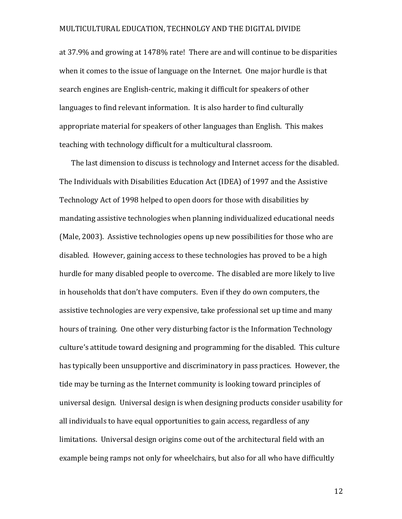at 37.9% and growing at 1478% rate! There are and will continue to be disparities when it comes to the issue of language on the Internet. One major hurdle is that search engines are English-centric, making it difficult for speakers of other languages to find relevant information. It is also harder to find culturally appropriate material for speakers of other languages than English. This makes teaching with technology difficult for a multicultural classroom.

The last dimension to discuss is technology and Internet access for the disabled. The Individuals with Disabilities Education Act (IDEA) of 1997 and the Assistive Technology Act of 1998 helped to open doors for those with disabilities by mandating assistive technologies when planning individualized educational needs (Male, 2003). Assistive technologies opens up new possibilities for those who are disabled. However, gaining access to these technologies has proved to be a high hurdle for many disabled people to overcome. The disabled are more likely to live in households that don't have computers. Even if they do own computers, the assistive technologies are very expensive, take professional set up time and many hours of training. One other very disturbing factor is the Information Technology culture's attitude toward designing and programming for the disabled. This culture has typically been unsupportive and discriminatory in pass practices. However, the tide may be turning as the Internet community is looking toward principles of universal design. Universal design is when designing products consider usability for all individuals to have equal opportunities to gain access, regardless of any limitations. Universal design origins come out of the architectural field with an example being ramps not only for wheelchairs, but also for all who have difficultly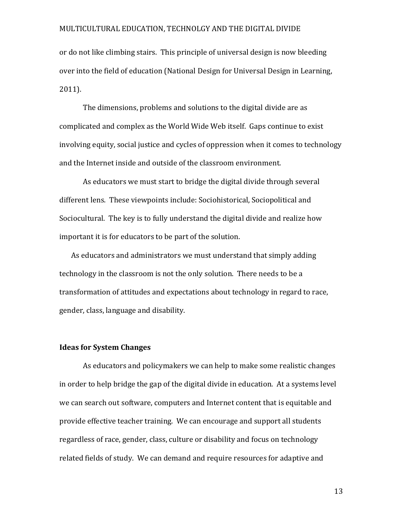or do not like climbing stairs. This principle of universal design is now bleeding over into the field of education (National Design for Universal Design in Learning, 2011).

The dimensions, problems and solutions to the digital divide are as complicated and complex as the World Wide Web itself. Gaps continue to exist involving equity, social justice and cycles of oppression when it comes to technology and the Internet inside and outside of the classroom environment.

As educators we must start to bridge the digital divide through several different lens. These viewpoints include: Sociohistorical, Sociopolitical and Sociocultural. The key is to fully understand the digital divide and realize how important it is for educators to be part of the solution.

As educators and administrators we must understand that simply adding technology in the classroom is not the only solution. There needs to be a transformation of attitudes and expectations about technology in regard to race, gender, class, language and disability.

# **Ideas for System Changes**

As educators and policymakers we can help to make some realistic changes in order to help bridge the gap of the digital divide in education. At a systems level we can search out software, computers and Internet content that is equitable and provide effective teacher training. We can encourage and support all students regardless of race, gender, class, culture or disability and focus on technology related fields of study. We can demand and require resources for adaptive and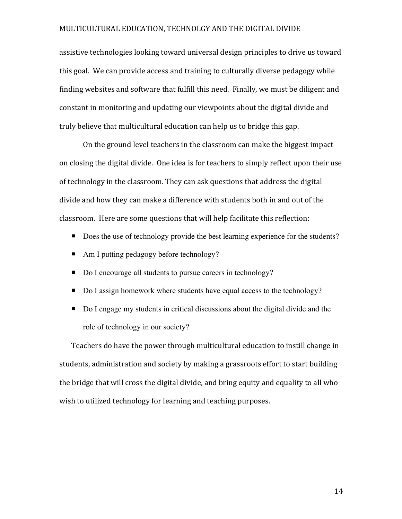assistive technologies looking toward universal design principles to drive us toward this goal. We can provide access and training to culturally diverse pedagogy while finding websites and software that fulfill this need. Finally, we must be diligent and constant in monitoring and updating our viewpoints about the digital divide and truly believe that multicultural education can help us to bridge this gap.

On the ground level teachers in the classroom can make the biggest impact on closing the digital divide. One idea is for teachers to simply reflect upon their use of technology in the classroom. They can ask questions that address the digital divide and how they can make a difference with students both in and out of the classroom. Here are some questions that will help facilitate this reflection:

- Does the use of technology provide the best learning experience for the students?
- Am I putting pedagogy before technology?
- Do I encourage all students to pursue careers in technology?
- Do I assign homework where students have equal access to the technology?
- Do I engage my students in critical discussions about the digital divide and the role of technology in our society?

Teachers do have the power through multicultural education to instill change in students, administration and society by making a grassroots effort to start building the bridge that will cross the digital divide, and bring equity and equality to all who wish to utilized technology for learning and teaching purposes.